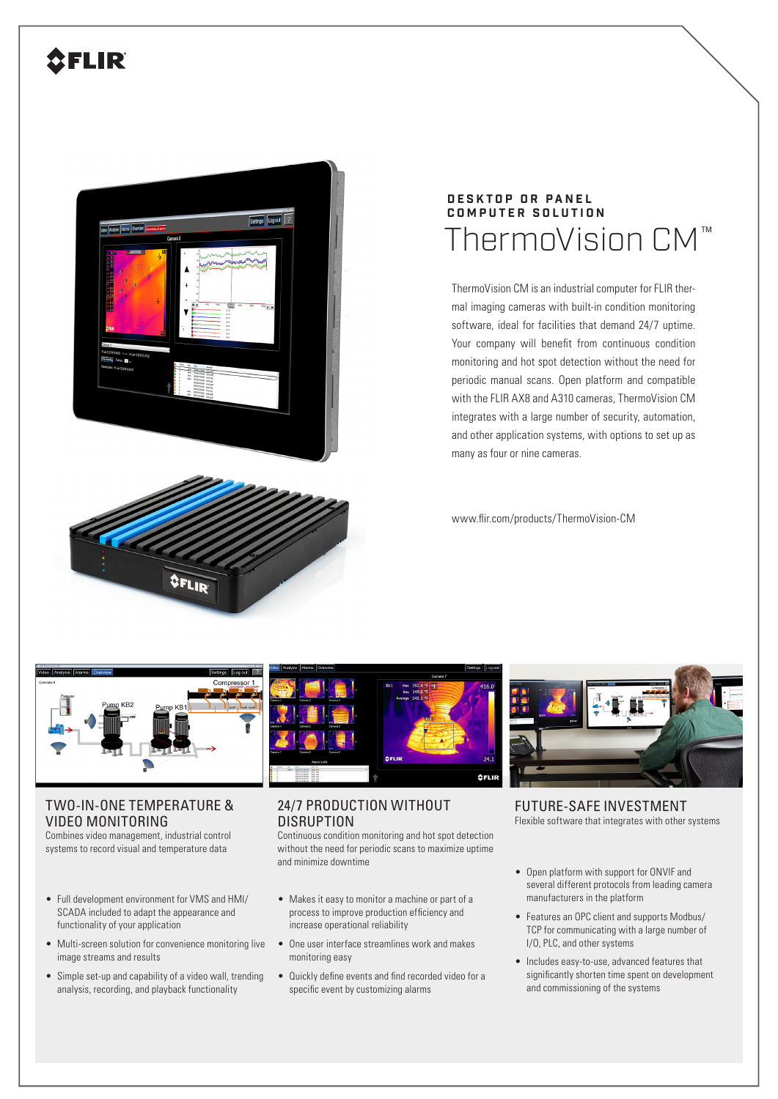# **2FLIR**



# ThermoVision CM $^{\text{m}}$ **DESKTOP OR PANEL COMPUTER SOLUTION**

ThermoVision CM is an industrial computer for FLIR thermal imaging cameras with built-in condition monitoring software, ideal for facilities that demand 24/7 uptime. Your company will benefit from continuous condition monitoring and hot spot detection without the need for periodic manual scans. Open platform and compatible with the FLIR AX8 and A310 cameras, ThermoVision CM integrates with a large number of security, automation, and other application systems, with options to set up as many as four or nine cameras.

www.flir.com/products/ThermoVision-CM



**OFLIR** 

## TWO-IN-ONE TEMPERATURE & VIDEO MONITORING

Combines video management, industrial control systems to record visual and temperature data

- Full development environment for VMS and HMI/ SCADA included to adapt the appearance and functionality of your application
- Multi-screen solution for convenience monitoring live image streams and results
- Simple set-up and capability of a video wall, trending analysis, recording, and playback functionality



### 24/7 PRODUCTION WITHOUT **DISRUPTION**

Continuous condition monitoring and hot spot detection without the need for periodic scans to maximize uptime and minimize downtime

- Makes it easy to monitor a machine or part of a process to improve production efficiency and increase operational reliability
- One user interface streamlines work and makes monitoring easy
- Quickly define events and find recorded video for a specific event by customizing alarms



FUTURE-SAFE INVESTMENT Flexible software that integrates with other systems

- Open platform with support for ONVIF and several different protocols from leading camera manufacturers in the platform
- Features an OPC client and supports Modbus/ TCP for communicating with a large number of I/O, PLC, and other systems
- Includes easy-to-use, advanced features that significantly shorten time spent on development and commissioning of the systems